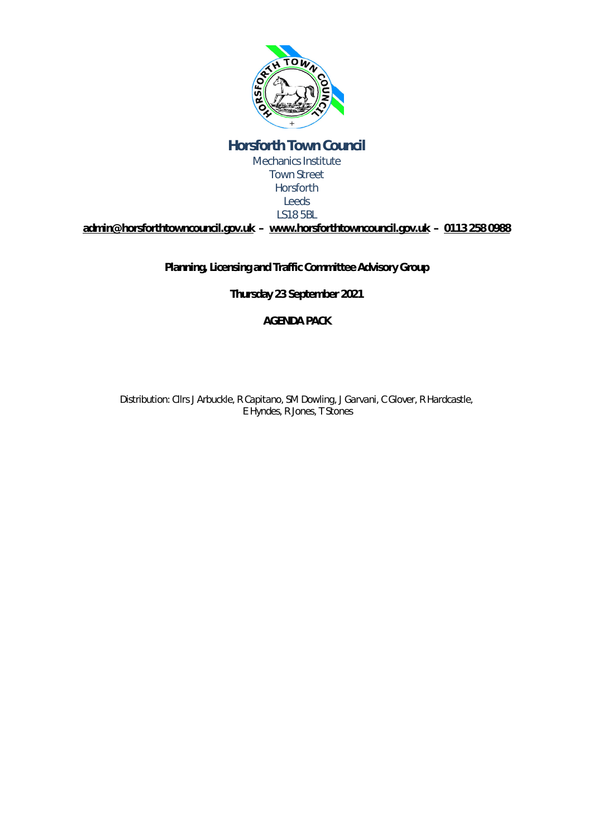

### **Horsforth Town Council**

Mechanics Institute Town Street Horsforth Leeds LS18 5BL

**[admin@horsforthtowncouncil.gov.uk](mailto:admin@horsforthtowncouncil.gov.uk) – [www.horsforthtowncouncil.gov.uk](http://www.horsforthtowncouncil.gov.uk/) – 0113 258 0988**

### **Planning, Licensing and Traffic Committee Advisory Group**

**Thursday 23 September 2021** 

### **AGENDA PACK**

*Distribution: Cllrs J Arbuckle, R Capitano, SM Dowling, J Garvani, C Glover, R Hardcastle, E Hyndes, R Jones, T Stones*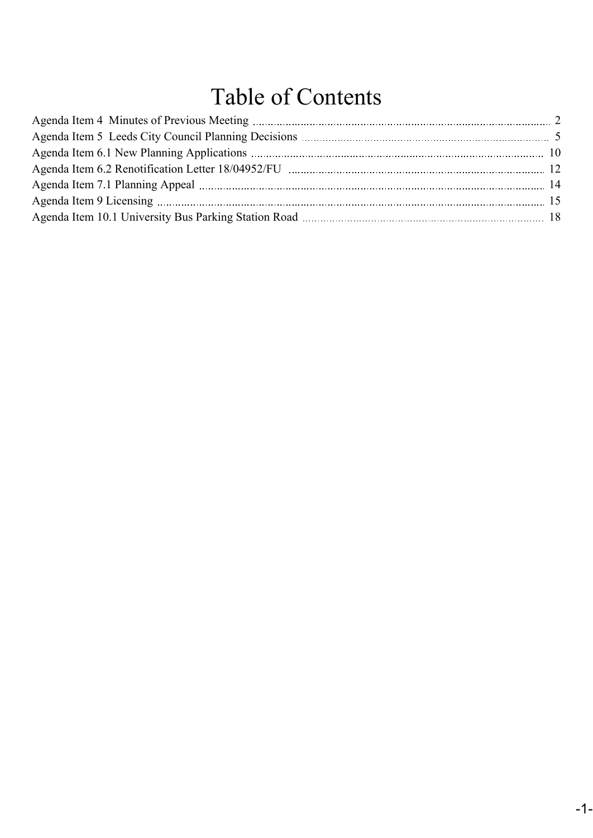# Table of Contents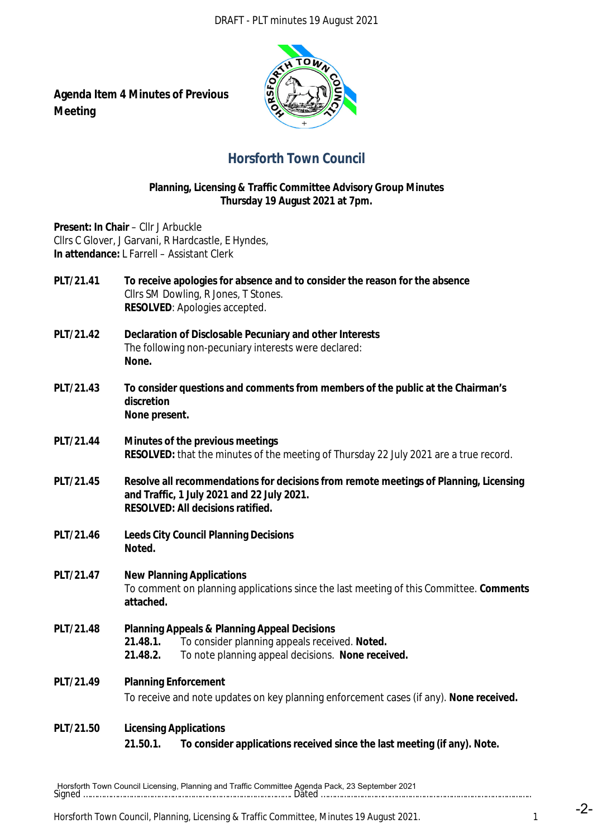### <span id="page-2-0"></span>**Agenda Item 4 Minutes of Previous Meeting**



# **Horsforth Town Council**

#### **Planning, Licensing & Traffic Committee Advisory Group Minutes Thursday 19 August 2021 at 7pm.**

**Present: In Chair - Cllr J Arbuckle** Cllrs C Glover, J Garvani, R Hardcastle, E Hyndes, **In attendance:** L Farrell – Assistant Clerk

| <b>PLT/21.41</b> | To receive apologies for absence and to consider the reason for the absence<br><b>Cllrs SM Dowling, R Jones, T Stones.</b><br><b>RESOLVED:</b> Apologies accepted.                    |
|------------------|---------------------------------------------------------------------------------------------------------------------------------------------------------------------------------------|
| <b>PLT/21.42</b> | <b>Declaration of Disclosable Pecuniary and other Interests</b><br>The following non-pecuniary interests were declared:<br>None.                                                      |
| <b>PLT/21.43</b> | To consider questions and comments from members of the public at the Chairman's<br>discretion<br>None present.                                                                        |
| <b>PLT/21.44</b> | <b>Minutes of the previous meetings</b><br><b>RESOLVED:</b> that the minutes of the meeting of Thursday 22 July 2021 are a true record.                                               |
| PLT/21.45        | Resolve all recommendations for decisions from remote meetings of Planning, Licensing<br>and Traffic, 1 July 2021 and 22 July 2021.<br>RESOLVED: All decisions ratified.              |
| PLT/21.46        | <b>Leeds City Council Planning Decisions</b><br>Noted.                                                                                                                                |
| PLT/21.47        | <b>New Planning Applications</b><br>To comment on planning applications since the last meeting of this Committee. Comments<br>attached.                                               |
| <b>PLT/21.48</b> | <b>Planning Appeals &amp; Planning Appeal Decisions</b><br>To consider planning appeals received. Noted.<br>21.48.1.<br>To note planning appeal decisions. None received.<br>21.48.2. |
| <b>PLT/21.49</b> | <b>Planning Enforcement</b><br>To receive and note updates on key planning enforcement cases (if any). None received.                                                                 |
| <b>PLT/21.50</b> | <b>Licensing Applications</b><br>21.50.1.<br>To consider applications received since the last meeting (if any). Note.                                                                 |

Signed ………………………………………………………………………………. Dated ……………………………………………………………………………….. Horsforth Town Council Licensing, Planning and Traffic Committee Agenda Pack, 23 September 2021

Horsforth Town Council, Planning, Licensing & Traffic Committee, Minutes 19 August 2021. 1

-2-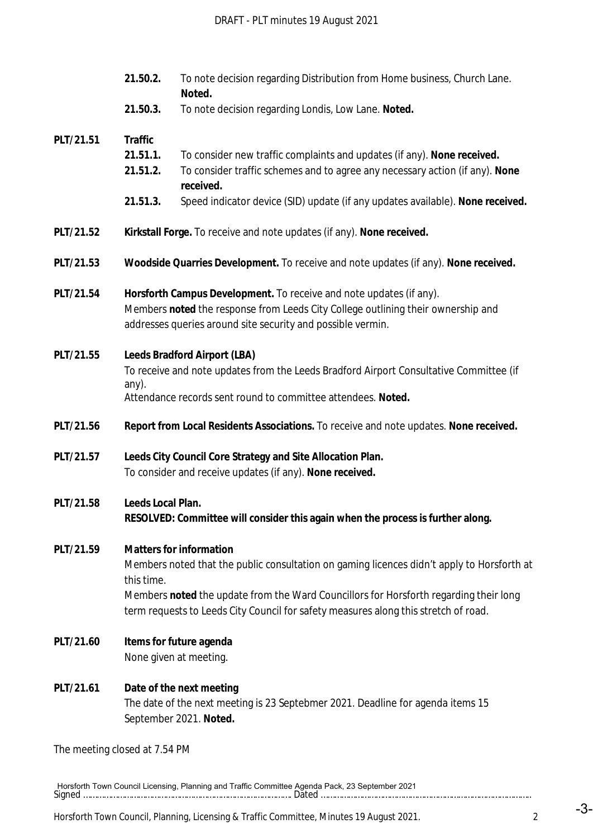|                  | 21.50.2.                                                                                        | To note decision regarding Distribution from Home business, Church Lane.<br>Noted.                                                              |  |  |  |  |
|------------------|-------------------------------------------------------------------------------------------------|-------------------------------------------------------------------------------------------------------------------------------------------------|--|--|--|--|
|                  | 21.50.3.                                                                                        | To note decision regarding Londis, Low Lane. Noted.                                                                                             |  |  |  |  |
| <b>PLT/21.51</b> | <b>Traffic</b>                                                                                  |                                                                                                                                                 |  |  |  |  |
|                  | 21.51.1.                                                                                        | To consider new traffic complaints and updates (if any). None received.                                                                         |  |  |  |  |
|                  | 21.51.2.                                                                                        | To consider traffic schemes and to agree any necessary action (if any). None<br>received.                                                       |  |  |  |  |
|                  | 21.51.3.                                                                                        | Speed indicator device (SID) update (if any updates available). None received.                                                                  |  |  |  |  |
| <b>PLT/21.52</b> |                                                                                                 | Kirkstall Forge. To receive and note updates (if any). None received.                                                                           |  |  |  |  |
| <b>PLT/21.53</b> |                                                                                                 | <b>Woodside Quarries Development.</b> To receive and note updates (if any). None received.                                                      |  |  |  |  |
| <b>PLT/21.54</b> |                                                                                                 | Horsforth Campus Development. To receive and note updates (if any).                                                                             |  |  |  |  |
|                  |                                                                                                 | Members noted the response from Leeds City College outlining their ownership and<br>addresses queries around site security and possible vermin. |  |  |  |  |
| PLT/21.55        |                                                                                                 | <b>Leeds Bradford Airport (LBA)</b>                                                                                                             |  |  |  |  |
|                  | To receive and note updates from the Leeds Bradford Airport Consultative Committee (if<br>any). |                                                                                                                                                 |  |  |  |  |
|                  |                                                                                                 | Attendance records sent round to committee attendees. Noted.                                                                                    |  |  |  |  |
| <b>PLT/21.56</b> |                                                                                                 | Report from Local Residents Associations. To receive and note updates. None received.                                                           |  |  |  |  |
| PLT/21.57        |                                                                                                 | Leeds City Council Core Strategy and Site Allocation Plan.                                                                                      |  |  |  |  |
|                  |                                                                                                 | To consider and receive updates (if any). None received.                                                                                        |  |  |  |  |
| PLT/21.58        | <b>Leeds Local Plan.</b>                                                                        |                                                                                                                                                 |  |  |  |  |
|                  |                                                                                                 | RESOLVED: Committee will consider this again when the process is further along.                                                                 |  |  |  |  |
| PLT/21.59        |                                                                                                 | <b>Matters for information</b>                                                                                                                  |  |  |  |  |
|                  | this time.                                                                                      | Members noted that the public consultation on gaming licences didn't apply to Horsforth at                                                      |  |  |  |  |
|                  |                                                                                                 | Members noted the update from the Ward Councillors for Horsforth regarding their long                                                           |  |  |  |  |
|                  |                                                                                                 | term requests to Leeds City Council for safety measures along this stretch of road.                                                             |  |  |  |  |
| <b>PLT/21.60</b> |                                                                                                 | <b>Items for future agenda</b>                                                                                                                  |  |  |  |  |
|                  |                                                                                                 | None given at meeting.                                                                                                                          |  |  |  |  |
| <b>PLT/21.61</b> |                                                                                                 | Date of the next meeting                                                                                                                        |  |  |  |  |
|                  |                                                                                                 | The date of the next meeting is 23 Septebmer 2021. Deadline for agenda items 15                                                                 |  |  |  |  |
|                  |                                                                                                 | September 2021. Noted.                                                                                                                          |  |  |  |  |
|                  |                                                                                                 |                                                                                                                                                 |  |  |  |  |

The meeting closed at 7.54 PM

Signed ………………………………………………………………………………. Dated ……………………………………………………………………………….. Horsforth Town Council Licensing, Planning and Traffic Committee Agenda Pack, 23 September 2021

Horsforth Town Council, Planning, Licensing & Traffic Committee, Minutes 19 August 2021. 2

-3-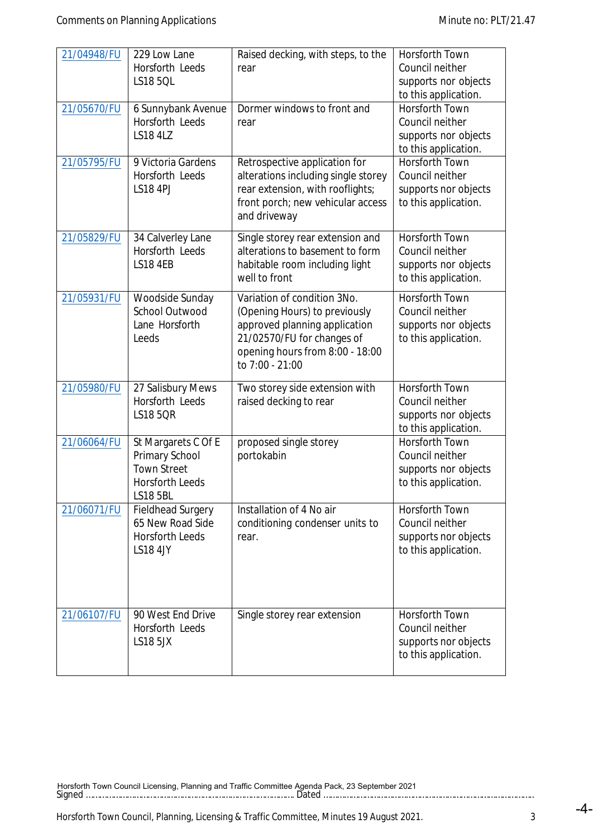| 21/04948/FU | 229 Low Lane<br><b>Horsforth Leeds</b><br><b>IS18 5QL</b>                                                              | Raised decking, with steps, to the<br>rear                                                                                                                                        | <b>Horsforth Town</b><br><b>Council neither</b><br>supports nor objects<br>to this application. |
|-------------|------------------------------------------------------------------------------------------------------------------------|-----------------------------------------------------------------------------------------------------------------------------------------------------------------------------------|-------------------------------------------------------------------------------------------------|
| 21/05670/FU | <b>6 Sunnybank Avenue</b><br><b>Horsforth Leeds</b><br><b>IS18 4IZ</b>                                                 | Dormer windows to front and<br>rear                                                                                                                                               | <b>Horsforth Town</b><br><b>Council neither</b><br>supports nor objects<br>to this application. |
| 21/05795/FU | 9 Victoria Gardens<br><b>Horsforth Leeds</b><br><b>IS18 4PJ</b>                                                        | <b>Retrospective application for</b><br>alterations including single storey<br>rear extension, with rooflights;<br>front porch; new vehicular access<br>and driveway              | <b>Horsforth Town</b><br><b>Council neither</b><br>supports nor objects<br>to this application. |
| 21/05829/FU | <b>34 Calverley Lane</b><br><b>Horsforth Leeds</b><br><b>LS18 4EB</b>                                                  | Single storey rear extension and<br>alterations to basement to form<br>habitable room including light<br>well to front                                                            | <b>Horsforth Town</b><br><b>Council neither</b><br>supports nor objects<br>to this application. |
| 21/05931/FU | <b>Woodside Sunday</b><br><b>School Outwood</b><br><b>Lane Horsforth</b><br><b>Leeds</b>                               | Variation of condition 3No.<br>(Opening Hours) to previously<br>approved planning application<br>21/02570/FU for changes of<br>opening hours from 8:00 - 18:00<br>to 7:00 - 21:00 | <b>Horsforth Town</b><br><b>Council neither</b><br>supports nor objects<br>to this application. |
| 21/05980/FU | <b>27 Salisbury Mews</b><br><b>Horsforth Leeds</b><br><b>LS18 5QR</b>                                                  | Two storey side extension with<br>raised decking to rear                                                                                                                          | <b>Horsforth Town</b><br><b>Council neither</b><br>supports nor objects<br>to this application. |
| 21/06064/FU | <b>St Margarets C Of E</b><br><b>Primary School</b><br><b>Town Street</b><br><b>Horsforth Leeds</b><br><b>LS18 5BL</b> | proposed single storey<br>portokabin                                                                                                                                              | <b>Horsforth Town</b><br><b>Council neither</b><br>supports nor objects<br>to this application. |
| 21/06071/FU | <b>Fieldhead Surgery</b><br><b>65 New Road Side</b><br><b>Horsforth Leeds</b><br><b>IS18 4JY</b>                       | <b>Installation of 4 No air</b><br>conditioning condenser units to<br>rear.                                                                                                       | <b>Horsforth Town</b><br><b>Council neither</b><br>supports nor objects<br>to this application. |
| 21/06107/FU | <b>90 West End Drive</b><br><b>Horsforth Leeds</b><br><b>IS18 5JX</b>                                                  | Single storey rear extension                                                                                                                                                      | <b>Horsforth Town</b><br><b>Council neither</b><br>supports nor objects<br>to this application. |

Signed ………………………………………………………………………………. Dated ……………………………………………………………………………….. Horsforth Town Council Licensing, Planning and Traffic Committee Agenda Pack, 23 September 2021

-4-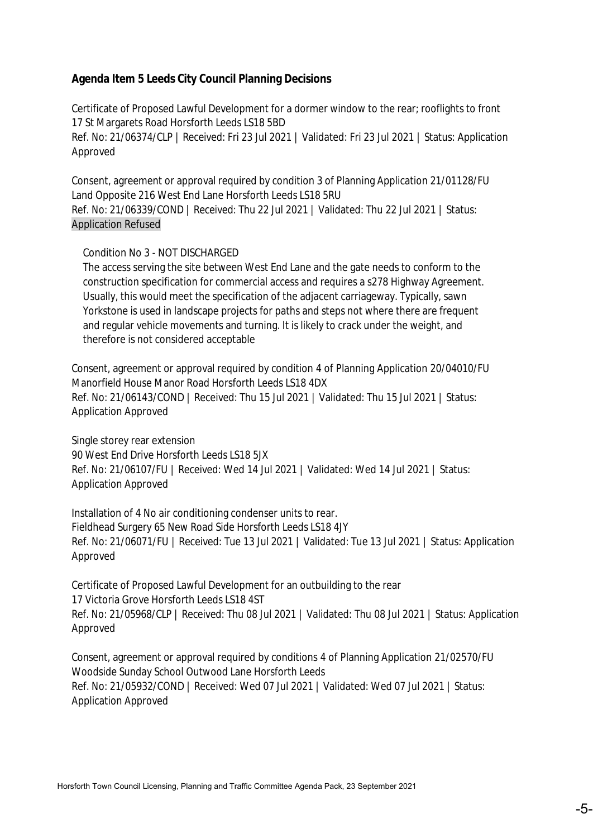#### <span id="page-5-0"></span>**Agenda Item 5 Leeds City Council Planning Decisions**

Certificate of Proposed Lawful Development for a dormer window to the rear; rooflights to front 17 St Margarets Road Horsforth Leeds LS18 5BD Ref. No: 21/06374/CLP | Received: Fri 23 Jul 2021 | Validated: Fri 23 Jul 2021 | Status: Application Approved

Consent, agreement or approval required by condition 3 of Planning Application 21/01128/FU Land Opposite 216 West End Lane Horsforth Leeds LS18 5RU

Ref. No: 21/06339/COND | Received: Thu 22 Jul 2021 | Validated: Thu 22 Jul 2021 | Status: Application Refused

Condition No 3 - NOT DISCHARGED

The access serving the site between West End Lane and the gate needs to conform to the construction specification for commercial access and requires a s278 Highway Agreement. Usually, this would meet the specification of the adjacent carriageway. Typically, sawn Yorkstone is used in landscape projects for paths and steps not where there are frequent and regular vehicle movements and turning. It is likely to crack under the weight, and therefore is not considered acceptable

Consent, agreement or approval required by condition 4 of Planning Application 20/04010/FU Manorfield House Manor Road Horsforth Leeds LS18 4DX Ref. No: 21/06143/COND | Received: Thu 15 Jul 2021 | Validated: Thu 15 Jul 2021 | Status: Application Approved

Single storey rear extension 90 West End Drive Horsforth Leeds LS18 5JX Ref. No: 21/06107/FU | Received: Wed 14 Jul 2021 | Validated: Wed 14 Jul 2021 | Status: Application Approved

Installation of 4 No air conditioning condenser units to rear. Fieldhead Surgery 65 New Road Side Horsforth Leeds LS18 4JY Ref. No: 21/06071/FU | Received: Tue 13 Jul 2021 | Validated: Tue 13 Jul 2021 | Status: Application Approved

Certificate of Proposed Lawful Development for an outbuilding to the rear 17 Victoria Grove Horsforth Leeds LS18 4ST Ref. No: 21/05968/CLP | Received: Thu 08 Jul 2021 | Validated: Thu 08 Jul 2021 | Status: Application Approved

Consent, agreement or approval required by conditions 4 of Planning Application 21/02570/FU Woodside Sunday School Outwood Lane Horsforth Leeds Ref. No: 21/05932/COND | Received: Wed 07 Jul 2021 | Validated: Wed 07 Jul 2021 | Status: Application Approved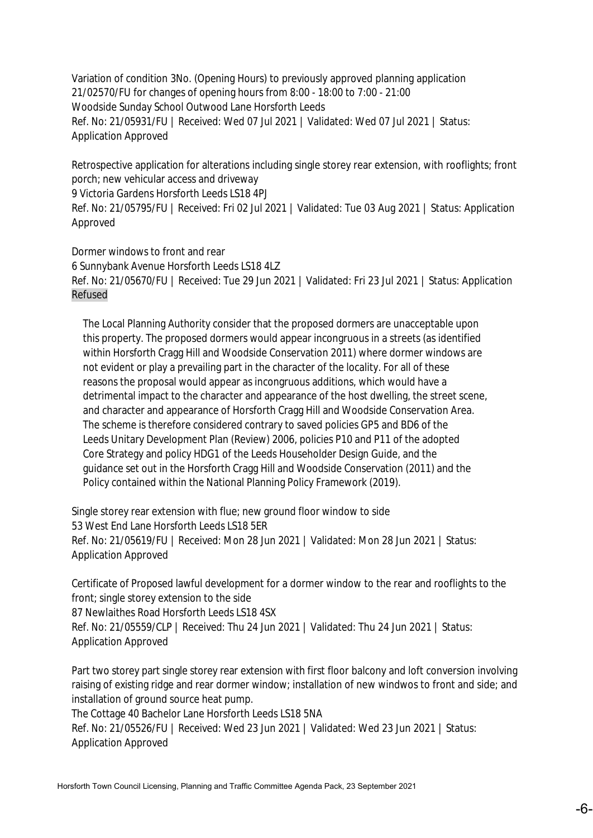Variation of condition 3No. (Opening Hours) to previously approved planning application 21/02570/FU for changes of opening hours from 8:00 - 18:00 to 7:00 - 21:00 Woodside Sunday School Outwood Lane Horsforth Leeds Ref. No: 21/05931/FU | Received: Wed 07 Jul 2021 | Validated: Wed 07 Jul 2021 | Status: Application Approved

Retrospective application for alterations including single storey rear extension, with rooflights; front porch; new vehicular access and driveway 9 Victoria Gardens Horsforth Leeds LS18 4PJ Ref. No: 21/05795/FU | Received: Fri 02 Jul 2021 | Validated: Tue 03 Aug 2021 | Status: Application Approved

Dormer windows to front and rear 6 Sunnybank Avenue Horsforth Leeds LS18 4LZ Ref. No: 21/05670/FU | Received: Tue 29 Jun 2021 | Validated: Fri 23 Jul 2021 | Status: Application Refused

The Local Planning Authority consider that the proposed dormers are unacceptable upon this property. The proposed dormers would appear incongruous in a streets (as identified within Horsforth Cragg Hill and Woodside Conservation 2011) where dormer windows are not evident or play a prevailing part in the character of the locality. For all of these reasons the proposal would appear as incongruous additions, which would have a detrimental impact to the character and appearance of the host dwelling, the street scene, and character and appearance of Horsforth Cragg Hill and Woodside Conservation Area. The scheme is therefore considered contrary to saved policies GP5 and BD6 of the Leeds Unitary Development Plan (Review) 2006, policies P10 and P11 of the adopted Core Strategy and policy HDG1 of the Leeds Householder Design Guide, and the guidance set out in the Horsforth Cragg Hill and Woodside Conservation (2011) and the Policy contained within the National Planning Policy Framework (2019).

Single storey rear extension with flue; new ground floor window to side 53 West End Lane Horsforth Leeds LS18 5ER Ref. No: 21/05619/FU | Received: Mon 28 Jun 2021 | Validated: Mon 28 Jun 2021 | Status: Application Approved

Certificate of Proposed lawful development for a dormer window to the rear and rooflights to the front; single storey extension to the side 87 Newlaithes Road Horsforth Leeds LS18 4SX Ref. No: 21/05559/CLP | Received: Thu 24 Jun 2021 | Validated: Thu 24 Jun 2021 | Status: Application Approved

Part two storey part single storey rear extension with first floor balcony and loft conversion involving raising of existing ridge and rear dormer window; installation of new windwos to front and side; and installation of ground source heat pump.

The Cottage 40 Bachelor Lane Horsforth Leeds LS18 5NA

Ref. No: 21/05526/FU | Received: Wed 23 Jun 2021 | Validated: Wed 23 Jun 2021 | Status: Application Approved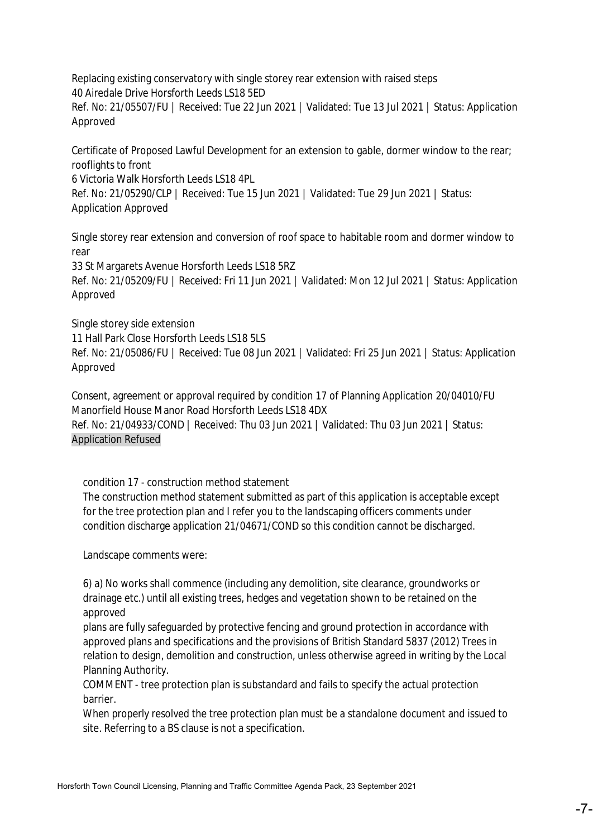Replacing existing conservatory with single storey rear extension with raised steps 40 Airedale Drive Horsforth Leeds LS18 5ED

Ref. No: 21/05507/FU | Received: Tue 22 Jun 2021 | Validated: Tue 13 Jul 2021 | Status: Application Approved

Certificate of Proposed Lawful Development for an extension to gable, dormer window to the rear; rooflights to front

6 Victoria Walk Horsforth Leeds LS18 4PL

Ref. No: 21/05290/CLP | Received: Tue 15 Jun 2021 | Validated: Tue 29 Jun 2021 | Status: Application Approved

Single storey rear extension and conversion of roof space to habitable room and dormer window to rear

33 St Margarets Avenue Horsforth Leeds LS18 5RZ Ref. No: 21/05209/FU | Received: Fri 11 Jun 2021 | Validated: Mon 12 Jul 2021 | Status: Application Approved

Single storey side extension 11 Hall Park Close Horsforth Leeds LS18 5LS Ref. No: 21/05086/FU | Received: Tue 08 Jun 2021 | Validated: Fri 25 Jun 2021 | Status: Application Approved

Consent, agreement or approval required by condition 17 of Planning Application 20/04010/FU Manorfield House Manor Road Horsforth Leeds LS18 4DX Ref. No: 21/04933/COND | Received: Thu 03 Jun 2021 | Validated: Thu 03 Jun 2021 | Status: Application Refused

condition 17 - construction method statement

The construction method statement submitted as part of this application is acceptable except for the tree protection plan and I refer you to the landscaping officers comments under condition discharge application 21/04671/COND so this condition cannot be discharged.

Landscape comments were:

6) a) No works shall commence (including any demolition, site clearance, groundworks or drainage etc.) until all existing trees, hedges and vegetation shown to be retained on the approved

plans are fully safeguarded by protective fencing and ground protection in accordance with approved plans and specifications and the provisions of British Standard 5837 (2012) Trees in relation to design, demolition and construction, unless otherwise agreed in writing by the Local Planning Authority.

COMMENT - tree protection plan is substandard and fails to specify the actual protection barrier.

When properly resolved the tree protection plan must be a standalone document and issued to site. Referring to a BS clause is not a specification.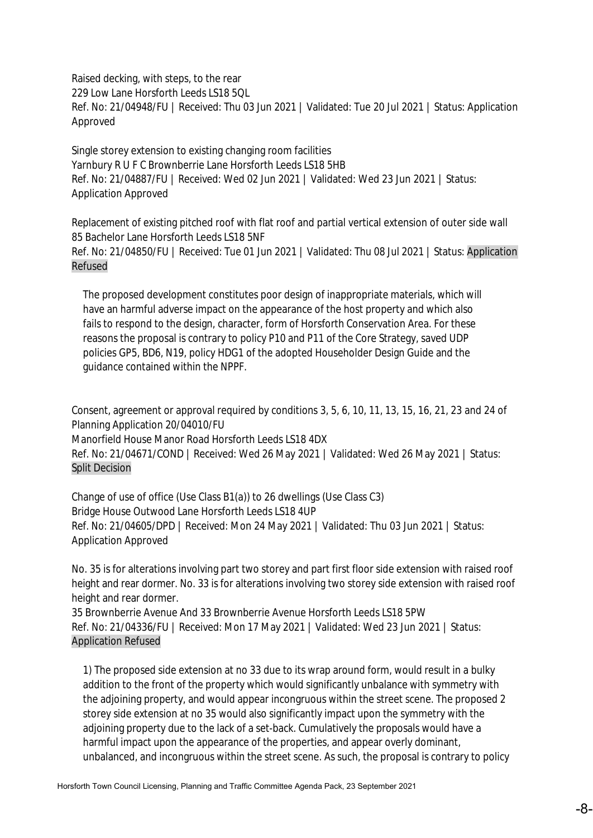Raised decking, with steps, to the rear 229 Low Lane Horsforth Leeds LS18 5QL Ref. No: 21/04948/FU | Received: Thu 03 Jun 2021 | Validated: Tue 20 Jul 2021 | Status: Application Approved

Single storey extension to existing changing room facilities Yarnbury R U F C Brownberrie Lane Horsforth Leeds LS18 5HB Ref. No: 21/04887/FU | Received: Wed 02 Jun 2021 | Validated: Wed 23 Jun 2021 | Status: Application Approved

Replacement of existing pitched roof with flat roof and partial vertical extension of outer side wall 85 Bachelor Lane Horsforth Leeds LS18 5NF Ref. No: 21/04850/FU | Received: Tue 01 Jun 2021 | Validated: Thu 08 Jul 2021 | Status: Application Refused

The proposed development constitutes poor design of inappropriate materials, which will have an harmful adverse impact on the appearance of the host property and which also fails to respond to the design, character, form of Horsforth Conservation Area. For these reasons the proposal is contrary to policy P10 and P11 of the Core Strategy, saved UDP policies GP5, BD6, N19, policy HDG1 of the adopted Householder Design Guide and the guidance contained within the NPPF.

Consent, agreement or approval required by conditions 3, 5, 6, 10, 11, 13, 15, 16, 21, 23 and 24 of Planning Application 20/04010/FU Manorfield House Manor Road Horsforth Leeds LS18 4DX Ref. No: 21/04671/COND | Received: Wed 26 May 2021 | Validated: Wed 26 May 2021 | Status: Split Decision

Change of use of office (Use Class B1(a)) to 26 dwellings (Use Class C3) Bridge House Outwood Lane Horsforth Leeds LS18 4UP Ref. No: 21/04605/DPD | Received: Mon 24 May 2021 | Validated: Thu 03 Jun 2021 | Status: Application Approved

No. 35 is for alterations involving part two storey and part first floor side extension with raised roof height and rear dormer. No. 33 is for alterations involving two storey side extension with raised roof height and rear dormer.

35 Brownberrie Avenue And 33 Brownberrie Avenue Horsforth Leeds LS18 5PW Ref. No: 21/04336/FU | Received: Mon 17 May 2021 | Validated: Wed 23 Jun 2021 | Status: Application Refused

1) The proposed side extension at no 33 due to its wrap around form, would result in a bulky addition to the front of the property which would significantly unbalance with symmetry with the adjoining property, and would appear incongruous within the street scene. The proposed 2 storey side extension at no 35 would also significantly impact upon the symmetry with the adjoining property due to the lack of a set-back. Cumulatively the proposals would have a harmful impact upon the appearance of the properties, and appear overly dominant, unbalanced, and incongruous within the street scene. As such, the proposal is contrary to policy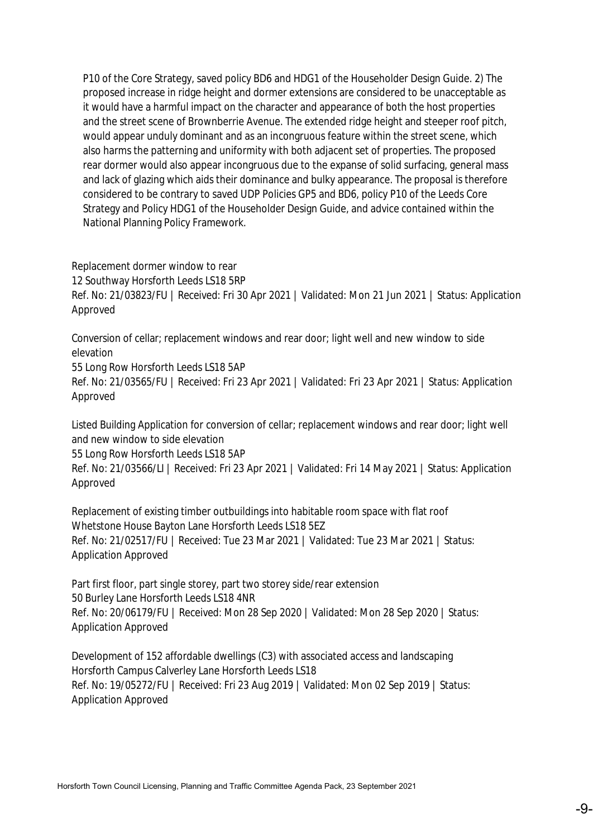P10 of the Core Strategy, saved policy BD6 and HDG1 of the Householder Design Guide. 2) The proposed increase in ridge height and dormer extensions are considered to be unacceptable as it would have a harmful impact on the character and appearance of both the host properties and the street scene of Brownberrie Avenue. The extended ridge height and steeper roof pitch, would appear unduly dominant and as an incongruous feature within the street scene, which also harms the patterning and uniformity with both adjacent set of properties. The proposed rear dormer would also appear incongruous due to the expanse of solid surfacing, general mass and lack of glazing which aids their dominance and bulky appearance. The proposal is therefore considered to be contrary to saved UDP Policies GP5 and BD6, policy P10 of the Leeds Core Strategy and Policy HDG1 of the Householder Design Guide, and advice contained within the National Planning Policy Framework.

Replacement dormer window to rear 12 Southway Horsforth Leeds LS18 5RP Ref. No: 21/03823/FU | Received: Fri 30 Apr 2021 | Validated: Mon 21 Jun 2021 | Status: Application Approved

Conversion of cellar; replacement windows and rear door; light well and new window to side elevation 55 Long Row Horsforth Leeds LS18 5AP Ref. No: 21/03565/FU | Received: Fri 23 Apr 2021 | Validated: Fri 23 Apr 2021 | Status: Application Approved

Listed Building Application for conversion of cellar; replacement windows and rear door; light well and new window to side elevation

55 Long Row Horsforth Leeds LS18 5AP

Ref. No: 21/03566/LI | Received: Fri 23 Apr 2021 | Validated: Fri 14 May 2021 | Status: Application Approved

Replacement of existing timber outbuildings into habitable room space with flat roof Whetstone House Bayton Lane Horsforth Leeds LS18 5EZ Ref. No: 21/02517/FU | Received: Tue 23 Mar 2021 | Validated: Tue 23 Mar 2021 | Status: Application Approved

Part first floor, part single storey, part two storey side/rear extension 50 Burley Lane Horsforth Leeds LS18 4NR Ref. No: 20/06179/FU | Received: Mon 28 Sep 2020 | Validated: Mon 28 Sep 2020 | Status: Application Approved

Development of 152 affordable dwellings (C3) with associated access and landscaping Horsforth Campus Calverley Lane Horsforth Leeds LS18 Ref. No: 19/05272/FU | Received: Fri 23 Aug 2019 | Validated: Mon 02 Sep 2019 | Status: Application Approved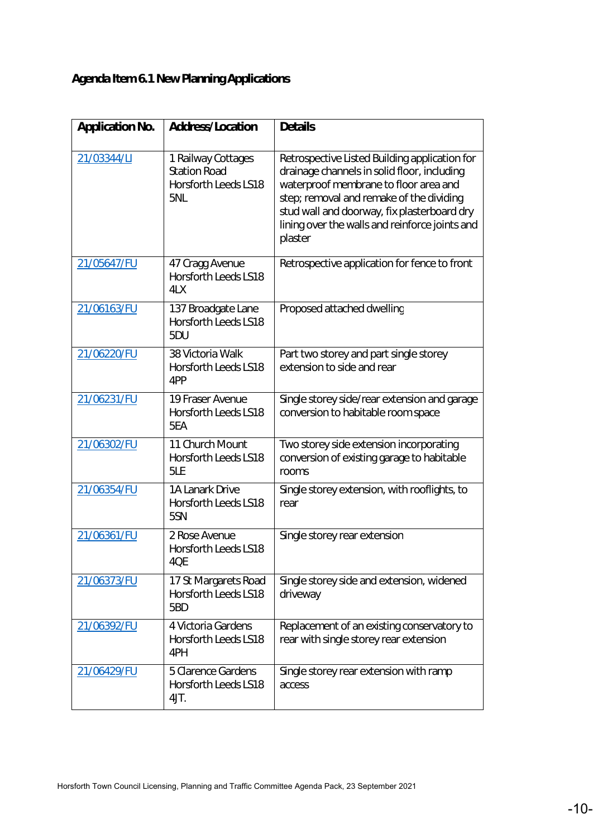# <span id="page-10-0"></span>**Agenda Item 6.1 New Planning Applications**

| <b>Application No.</b> | <b>Address/Location</b>                                                  | <b>Details</b>                                                                                                                                                                                                                                                                                |
|------------------------|--------------------------------------------------------------------------|-----------------------------------------------------------------------------------------------------------------------------------------------------------------------------------------------------------------------------------------------------------------------------------------------|
| 21/03344/LI            | 1 Railway Cottages<br><b>Station Road</b><br>Horsforth Leeds LS18<br>5NL | Retrospective Listed Building application for<br>drainage channels in solid floor, including<br>waterproof membrane to floor area and<br>step; removal and remake of the dividing<br>stud wall and doorway, fix plasterboard dry<br>lining over the walls and reinforce joints and<br>plaster |
| 21/05647/FU            | 47 Cragg Avenue<br>Horsforth Leeds LS18<br>4LX                           | Retrospective application for fence to front                                                                                                                                                                                                                                                  |
| 21/06163/FU            | 137 Broadgate Lane<br><b>Horsforth Leeds LS18</b><br>5 <sub>DU</sub>     | Proposed attached dwelling                                                                                                                                                                                                                                                                    |
| 21/06220/FU            | 38 Victoria Walk<br><b>Horsforth Leeds LS18</b><br>4PP                   | Part two storey and part single storey<br>extension to side and rear                                                                                                                                                                                                                          |
| 21/06231/FU            | 19 Fraser Avenue<br>Horsforth Leeds LS18<br>5EA                          | Single storey side/rear extension and garage<br>conversion to habitable room space                                                                                                                                                                                                            |
| 21/06302/FU            | 11 Church Mount<br>Horsforth Leeds LS18<br>5LE                           | Two storey side extension incorporating<br>conversion of existing garage to habitable<br>rooms                                                                                                                                                                                                |
| 21/06354/FU            | 1A Lanark Drive<br>Horsforth Leeds LS18<br>5SN                           | Single storey extension, with rooflights, to<br>rear                                                                                                                                                                                                                                          |
| 21/06361/FU            | 2 Rose Avenue<br>Horsforth Leeds LS18<br>4QE                             | Single storey rear extension                                                                                                                                                                                                                                                                  |
| 21/06373/FU            | 17 St Margarets Road<br><b>Horsforth Leeds LS18</b><br>5BD               | Single storey side and extension, widened<br>driveway                                                                                                                                                                                                                                         |
| 21/06392/FU            | 4 Victoria Gardens<br>Horsforth Leeds LS18<br>4PH                        | Replacement of an existing conservatory to<br>rear with single storey rear extension                                                                                                                                                                                                          |
| 21/06429/FU            | 5 Clarence Gardens<br>Horsforth Leeds LS18<br>4JT.                       | Single storey rear extension with ramp<br>access                                                                                                                                                                                                                                              |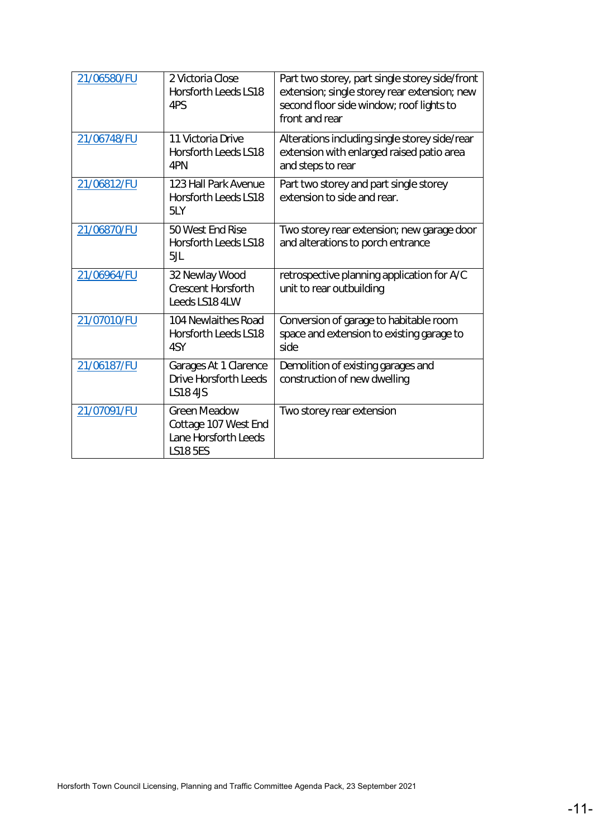| 21/06580/FU | 2 Victoria Close<br>Horsforth Leeds LS18<br>4PS                                        | Part two storey, part single storey side/front<br>extension; single storey rear extension; new<br>second floor side window; roof lights to<br>front and rear |
|-------------|----------------------------------------------------------------------------------------|--------------------------------------------------------------------------------------------------------------------------------------------------------------|
| 21/06748/FU | 11 Victoria Drive<br><b>Horsforth Leeds LS18</b><br>4PN                                | Alterations including single storey side/rear<br>extension with enlarged raised patio area<br>and steps to rear                                              |
| 21/06812/FU | 123 Hall Park Avenue<br><b>Horsforth Leeds LS18</b><br>5LY                             | Part two storey and part single storey<br>extension to side and rear.                                                                                        |
| 21/06870/FU | 50 West End Rise<br><b>Horsforth Leeds LS18</b><br>5JL                                 | Two storey rear extension; new garage door<br>and alterations to porch entrance                                                                              |
| 21/06964/FU | 32 Newlay Wood<br><b>Crescent Horsforth</b><br>Leeds LS18 4LW                          | retrospective planning application for A/C<br>unit to rear outbuilding                                                                                       |
| 21/07010/FU | 104 Newlaithes Road<br><b>Horsforth Leeds LS18</b><br>4SY                              | Conversion of garage to habitable room<br>space and extension to existing garage to<br>side                                                                  |
| 21/06187/FU | Garages At 1 Clarence<br><b>Drive Horsforth Leeds</b><br><b>LS18 4JS</b>               | Demolition of existing garages and<br>construction of new dwelling                                                                                           |
| 21/07091/FU | <b>Green Meadow</b><br>Cottage 107 West End<br>Lane Horsforth Leeds<br><b>LS18 5ES</b> | Two storey rear extension                                                                                                                                    |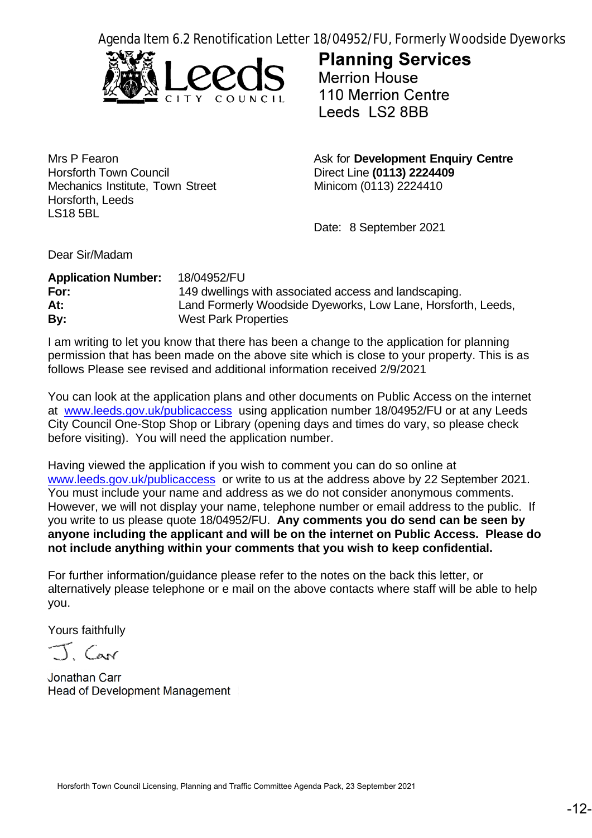<span id="page-12-0"></span>Agenda Item 6.2 Renotification Letter 18/04952/FU, Formerly Woodside Dyeworks



Mrs P Fearon Horsforth Town Council Mechanics Institute, Town Street Horsforth, Leeds LS18 5BL

**Planning Services Merrion House** 110 Merrion Centre Leeds LS2 8BB

Ask for **Development Enquiry Centre**  Direct Line **(0113) 2224409** Minicom (0113) 2224410

Date: 8 September 2021

Dear Sir/Madam

| <b>Application Number:</b> | 18/04952/FU                                                  |
|----------------------------|--------------------------------------------------------------|
| For:                       | 149 dwellings with associated access and landscaping.        |
| At:                        | Land Formerly Woodside Dyeworks, Low Lane, Horsforth, Leeds, |
| By:                        | West Park Properties                                         |

I am writing to let you know that there has been a change to the application for planning permission that has been made on the above site which is close to your property. This is as follows Please see revised and additional information received 2/9/2021

You can look at the application plans and other documents on Public Access on the internet at [www.leeds.gov.uk/publicaccess](http://publicaccess.leeds.gov.uk/online-applications/applicationDetails.do?activeTab=summary&keyVal=PCS16YJBHAI00) using application number 18/04952/FU or at any Leeds City Council One-Stop Shop or Library (opening days and times do vary, so please check before visiting). You will need the application number.

Having viewed the application if you wish to comment you can do so online at [www.leeds.gov.uk/publicaccess](http://publicaccess.leeds.gov.uk/online-applications/applicationDetails.do?activeTab=summary&keyVal=PCS16YJBHAI00) or write to us at the address above by 22 September 2021. You must include your name and address as we do not consider anonymous comments. However, we will not display your name, telephone number or email address to the public. If you write to us please quote 18/04952/FU. **Any comments you do send can be seen by anyone including the applicant and will be on the internet on Public Access. Please do not include anything within your comments that you wish to keep confidential.**

For further information/guidance please refer to the notes on the back this letter, or alternatively please telephone or e mail on the above contacts where staff will be able to help you.

Yours faithfully

 $T$  Can

**Jonathan Carr Head of Development Management**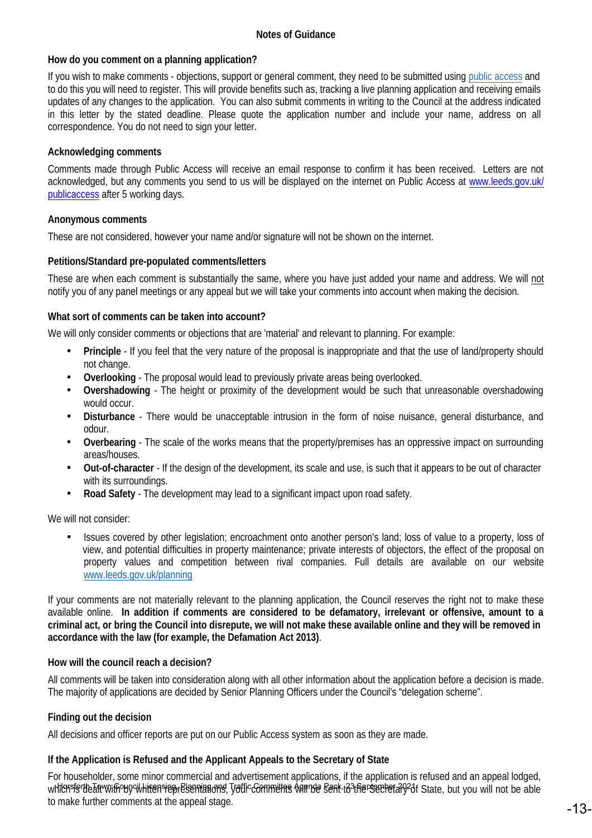#### **How do you comment on a planning application?**

If you wish to make comments - objections, support or general comment, they need to be submitted using public access and to do this you will need to register. This will provide benefits such as, tracking a live planning application and receiving emails updates of any changes to the application. You can also submit comments in writing to the Council at the address indicated in this letter by the stated deadline. Please quote the application number and include your name, address on all correspondence. You do not need to sign your letter.

#### **Acknowledging comments**

Comments made through Public Access will receive an email response to confirm it has been received. Letters are not acknowledged, but any comments you send to us will be displayed on the internet on Public Access at www.leeds.gov.uk/ [publicaccess after 5 working day](http://publicaccess.leeds.gov.uk/online-applications/applicationDetails.do?activeTab=summary&keyVal=PCS16YJBHAI00)s.

#### **Anonymous comments**

These are not considered, however your name and/or signature will not be shown on the internet.

#### **Petitions/Standard pre-populated comments/letters**

These are when each comment is substantially the same, where you have just added your name and address. We will not notify you of any panel meetings or any appeal but we will take your comments into account when making the decision.

#### **What sort of comments can be taken into account?**

We will only consider comments or objections that are 'material' and relevant to planning. For example:

- **Principle** If you feel that the very nature of the proposal is inappropriate and that the use of land/property should not change.
- **Overlooking** The proposal would lead to previously private areas being overlooked.
- **Overshadowing** The height or proximity of the development would be such that unreasonable overshadowing would occur.
- **Disturbance** There would be unacceptable intrusion in the form of noise nuisance, general disturbance, and odour.
- **Overbearing** The scale of the works means that the property/premises has an oppressive impact on surrounding areas/houses.
- **Out-of-character** If the design of the development, its scale and use, is such that it appears to be out of character with its surroundings.
- **Road Safety** The development may lead to a significant impact upon road safety.

We will not consider:

• Issues covered by other legislation; encroachment onto another person's land; loss of value to a property, loss of view, and potential difficulties in property maintenance; private interests of objectors, the effect of the proposal on property values and competition between rival companies. Full details are available on our website [www.leeds.gov.uk/planning](http://www.leeds.gov.uk/planning)

If your comments are not materially relevant to the planning application, the Council reserves the right not to make these available online. **In addition if comments are considered to be defamatory, irrelevant or offensive, amount to a criminal act, or bring the Council into disrepute, we will not make these available online and they will be removed in accordance with the law (for example, the Defamation Act 2013)**.

#### **How will the council reach a decision?**

All comments will be taken into consideration along with all other information about the application before a decision is made. The majority of applications are decided by Senior Planning Officers under the Council's "delegation scheme".

#### **Finding out the decision**

All decisions and officer reports are put on our Public Access system as soon as they are made.

#### **If the Application is Refused and the Applicant Appeals to the Secretary of State**

For householder, some minor commercial and advertisement applications, if the application is refused and an appeal lodged, which is dealt with by written item Beentations, YouTc Commette Age be sent to the Secretary of State, but you will not be able to make further comments at the appeal stage.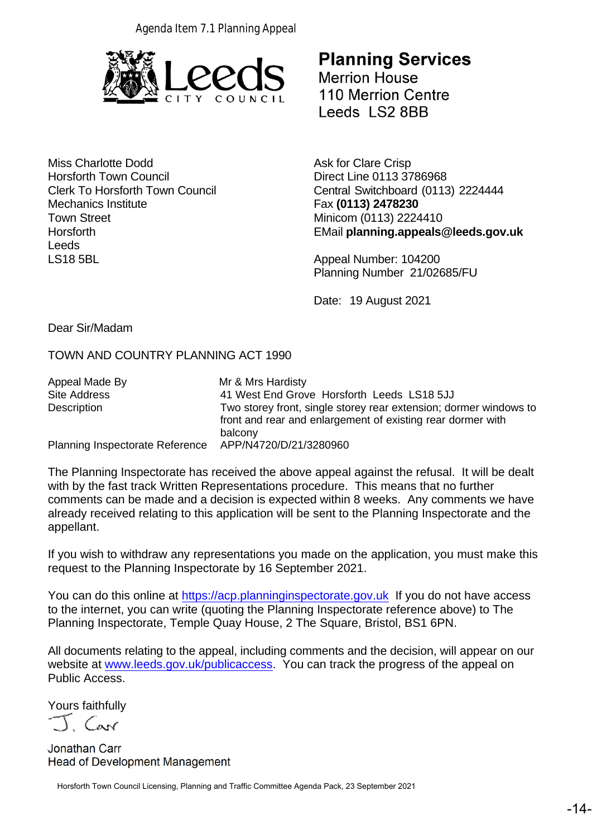<span id="page-14-0"></span>

Miss Charlotte Dodd Horsforth Town Council Clerk To Horsforth Town Council Mechanics Institute Town Street **Horsforth** Leeds LS18 5BL

**Planning Services Merrion House** 110 Merrion Centre Leeds LS2 8BB

Ask for Clare Crisp Direct Line 0113 3786968 Central Switchboard (0113) 2224444 Fax **(0113) 2478230** Minicom (0113) 2224410 EMail **planning.appeals@leeds.gov.uk**

Appeal Number: 104200 Planning Number 21/02685/FU

Date: 19 August 2021

Dear Sir/Madam

TOWN AND COUNTRY PLANNING ACT 1990

| Appeal Made By                                         | Mr & Mrs Hardisty                                                                                                                           |
|--------------------------------------------------------|---------------------------------------------------------------------------------------------------------------------------------------------|
| Site Address                                           | 41 West End Grove Horsforth Leeds LS18 5JJ                                                                                                  |
| Description                                            | Two storey front, single storey rear extension; dormer windows to<br>front and rear and enlargement of existing rear dormer with<br>balcony |
| Planning Inspectorate Reference APP/N4720/D/21/3280960 |                                                                                                                                             |

The Planning Inspectorate has received the above appeal against the refusal. It will be dealt with by the fast track Written Representations procedure. This means that no further comments can be made and a decision is expected within 8 weeks. Any comments we have already received relating to this application will be sent to the Planning Inspectorate and the appellant.

If you wish to withdraw any representations you made on the application, you must make this request to the Planning Inspectorate by 16 September 2021.

You can do this online at [https://acp.planninginspectorate.gov.uk](https://acp.planninginspectorate.gov.uk/) If you do not have access to the internet, you can write (quoting the Planning Inspectorate reference above) to The Planning Inspectorate, Temple Quay House, 2 The Square, Bristol, BS1 6PN.

All documents relating to the appeal, including comments and the decision, will appear on our website at [www.leeds.gov.uk/publicaccess](http://publicaccess.leeds.gov.uk/online-applications/applicationDetails.do?activeTab=summary&keyVal=QQPWN2JBGZR00). You can track the progress of the appeal on Public Access.

Yours faithfully

J Car

Jonathan Carr Head of Development Management

Horsforth Town Council Licensing, Planning and Traffic Committee Agenda Pack, 23 September 2021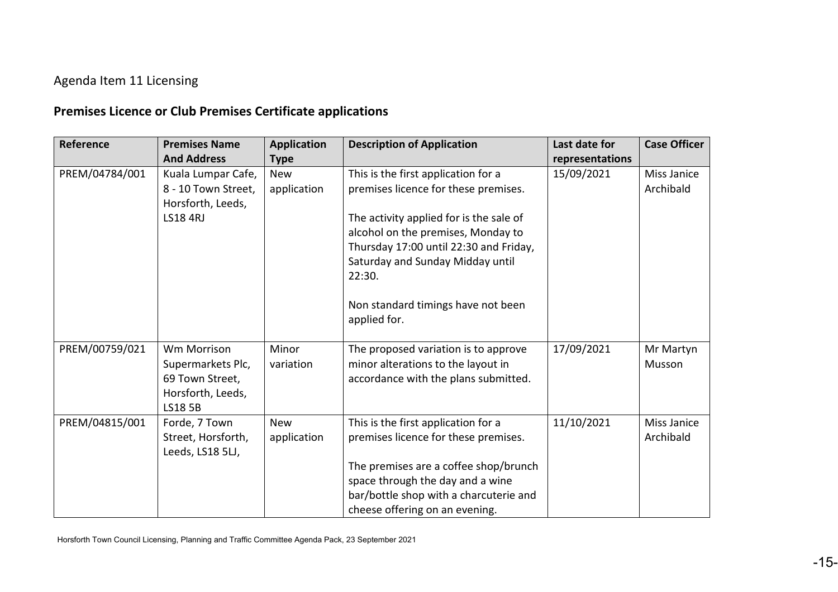# <span id="page-15-0"></span>Agenda Item 11 Licensing

# **Premises Licence or Club Premises Certificate applications**

| Reference      | <b>Premises Name</b><br><b>And Address</b>                                                 | <b>Application</b><br><b>Type</b> | <b>Description of Application</b>                                                                                                                                                                                                                                                                          | Last date for<br>representations | <b>Case Officer</b>             |
|----------------|--------------------------------------------------------------------------------------------|-----------------------------------|------------------------------------------------------------------------------------------------------------------------------------------------------------------------------------------------------------------------------------------------------------------------------------------------------------|----------------------------------|---------------------------------|
| PREM/04784/001 | Kuala Lumpar Cafe,<br>8 - 10 Town Street,<br>Horsforth, Leeds,<br><b>LS18 4RJ</b>          | <b>New</b><br>application         | This is the first application for a<br>premises licence for these premises.<br>The activity applied for is the sale of<br>alcohol on the premises, Monday to<br>Thursday 17:00 until 22:30 and Friday,<br>Saturday and Sunday Midday until<br>22:30.<br>Non standard timings have not been<br>applied for. | 15/09/2021                       | Miss Janice<br>Archibald        |
| PREM/00759/021 | Wm Morrison<br>Supermarkets Plc,<br>69 Town Street,<br>Horsforth, Leeds,<br><b>LS18 5B</b> | Minor<br>variation                | The proposed variation is to approve<br>minor alterations to the layout in<br>accordance with the plans submitted.                                                                                                                                                                                         | 17/09/2021                       | Mr Martyn<br>Musson             |
| PREM/04815/001 | Forde, 7 Town<br>Street, Horsforth,<br>Leeds, LS18 5LJ,                                    | <b>New</b><br>application         | This is the first application for a<br>premises licence for these premises.<br>The premises are a coffee shop/brunch<br>space through the day and a wine<br>bar/bottle shop with a charcuterie and<br>cheese offering on an evening.                                                                       | 11/10/2021                       | <b>Miss Janice</b><br>Archibald |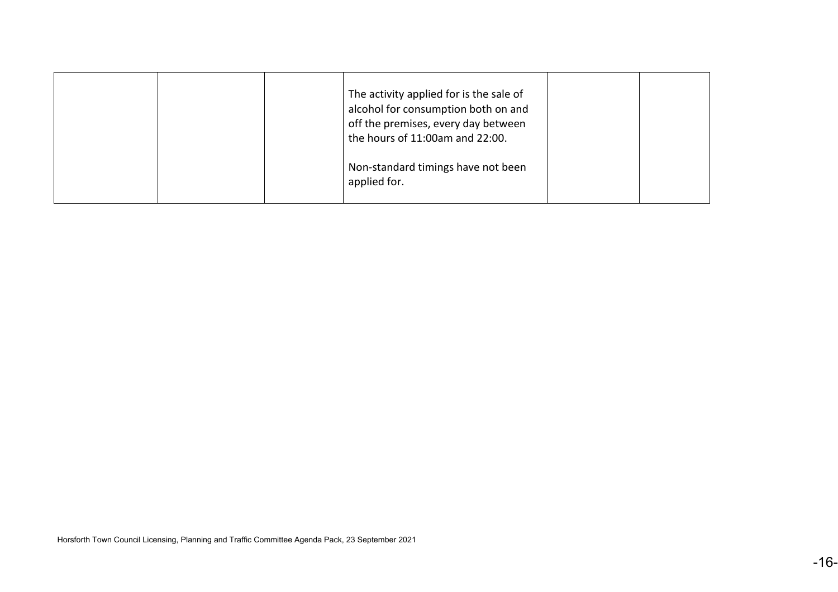|  | The activity applied for is the sale of<br>alcohol for consumption both on and<br>off the premises, every day between<br>the hours of 11:00am and 22:00.<br>Non-standard timings have not been<br>applied for. |  |
|--|----------------------------------------------------------------------------------------------------------------------------------------------------------------------------------------------------------------|--|
|  |                                                                                                                                                                                                                |  |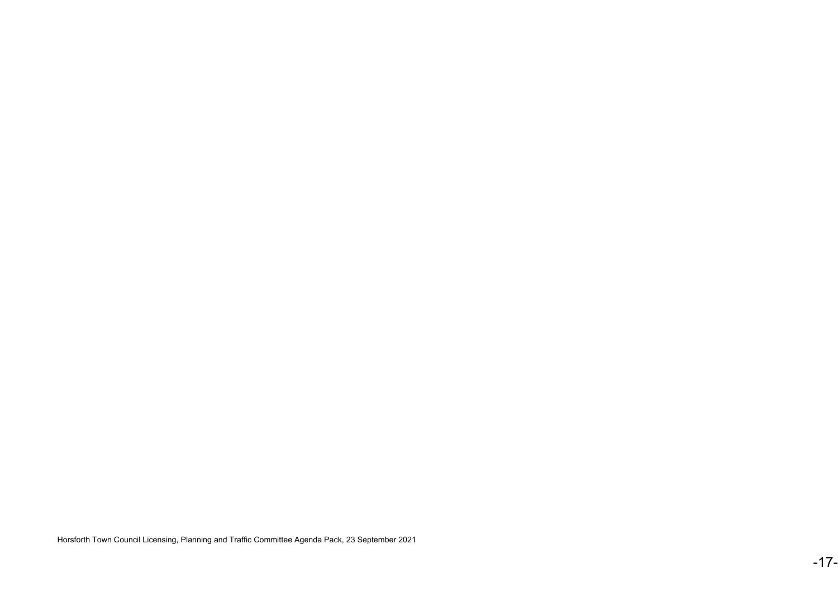Horsforth Town Council Licensing, Planning and Traffic Committee Agenda Pack, 23 September 2021